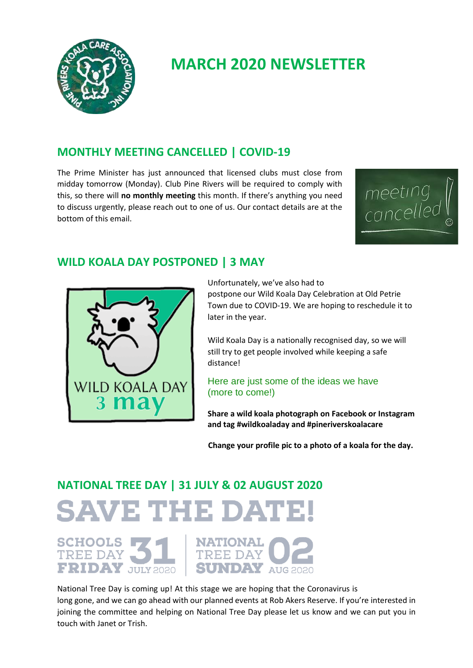

## **MARCH 2020 NEWSLETTER**

### **MONTHLY MEETING CANCELLED | COVID-19**

The Prime Minister has just announced that licensed clubs must close from midday tomorrow (Monday). Club Pine Rivers will be required to comply with this, so there will **no monthly meeting** this month. If there's anything you need to discuss urgently, please reach out to one of us. Our contact details are at the bottom of this email.



#### **WILD KOALA DAY POSTPONED | 3 MAY**



Unfortunately, we've also had to

postpone our Wild Koala Day Celebration at Old Petrie Town due to COVID-19. We are hoping to reschedule it to later in the year.

Wild Koala Day is a nationally recognised day, so we will still try to get people involved while keeping a safe distance!

#### Here are just some of the ideas we have (more to come!)

**Share a wild koala photograph on Facebook or Instagram and tag #wildkoaladay and #pineriverskoalacare**

 **Change your profile pic to a photo of a koala for the day.**

# **NATIONAL TREE DAY | 31 JULY & 02 AUGUST 2020 SAVE THE DATE!**

SCHOOLS 31 NATIONAL TREE DAY TREE DAY JULY 2020 SUNDAY



National Tree Day is coming up! At this stage we are hoping that the Coronavirus is long gone, and we can go ahead with our planned events at Rob Akers Reserve. If you're interested in joining the committee and helping on National Tree Day please let us know and we can put you in touch with Janet or Trish.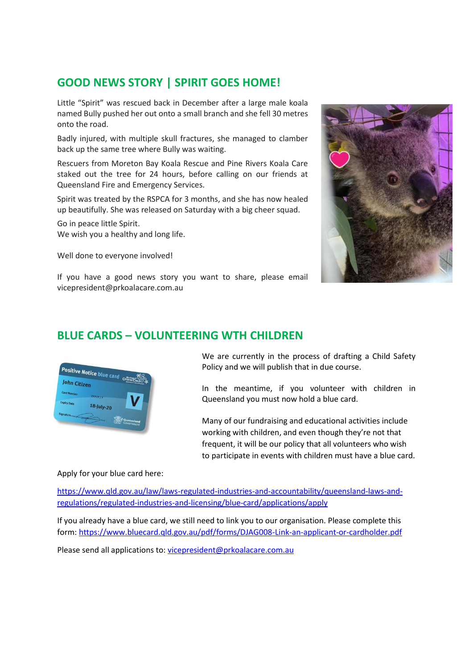## **GOOD NEWS STORY | SPIRIT GOES HOME!**

Little "Spirit" was rescued back in December after a large male koala named Bully pushed her out onto a small branch and she fell 30 metres onto the road.

Badly injured, with multiple skull fractures, she managed to clamber back up the same tree where Bully was waiting.

Rescuers from Moreton Bay Koala Rescue and Pine Rivers Koala Care staked out the tree for 24 hours, before calling on our friends at Queensland Fire and Emergency Services.

Spirit was treated by the RSPCA for 3 months, and she has now healed up beautifully. She was released on Saturday with a big cheer squad.

Go in peace little Spirit. We wish you a healthy and long life.

Well done to everyone involved!



If you have a good news story you want to share, please email vicepresident@prkoalacare.com.au

#### **BLUE CARDS – VOLUNTEERING WTH CHILDREN**



We are currently in the process of drafting a Child Safety Policy and we will publish that in due course.

In the meantime, if you volunteer with children in Queensland you must now hold a blue card.

Many of our fundraising and educational activities include working with children, and even though they're not that frequent, it will be our policy that all volunteers who wish to participate in events with children must have a blue card.

Apply for your blue card here:

[https://www.qld.gov.au/law/laws-regulated-industries-and-accountability/queensland-laws-and](https://www.qld.gov.au/law/laws-regulated-industries-and-accountability/queensland-laws-and-regulations/regulated-industries-and-licensing/blue-card/applications/apply)[regulations/regulated-industries-and-licensing/blue-card/applications/apply](https://www.qld.gov.au/law/laws-regulated-industries-and-accountability/queensland-laws-and-regulations/regulated-industries-and-licensing/blue-card/applications/apply)

If you already have a blue card, we still need to link you to our organisation. Please complete this form:<https://www.bluecard.qld.gov.au/pdf/forms/DJAG008-Link-an-applicant-or-cardholder.pdf>

Please send all applications to: [vicepresident@prkoalacare.com.au](mailto:vicepresident@prkoalacare.com.au)